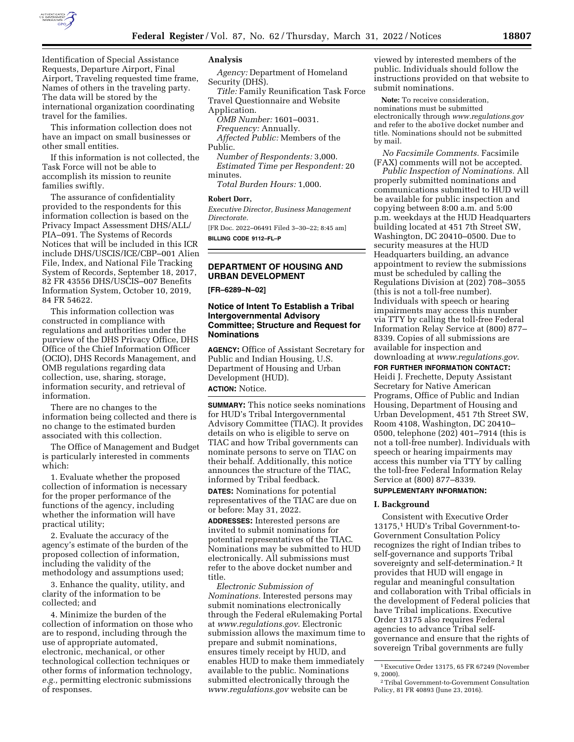

Identification of Special Assistance Requests, Departure Airport, Final **Analysis** 

Airport, Traveling requested time frame, Names of others in the traveling party. The data will be stored by the international organization coordinating travel for the families.

This information collection does not have an impact on small businesses or other small entities.

If this information is not collected, the Task Force will not be able to accomplish its mission to reunite families swiftly.

The assurance of confidentiality provided to the respondents for this information collection is based on the Privacy Impact Assessment DHS/ALL/ PIA–091. The Systems of Records Notices that will be included in this ICR include DHS/USCIS/ICE/CBP–001 Alien File, Index, and National File Tracking System of Records, September 18, 2017, 82 FR 43556 DHS/USCIS–007 Benefits Information System, October 10, 2019, 84 FR 54622.

This information collection was constructed in compliance with regulations and authorities under the purview of the DHS Privacy Office, DHS Office of the Chief Information Officer (OCIO), DHS Records Management, and OMB regulations regarding data collection, use, sharing, storage, information security, and retrieval of information.

There are no changes to the information being collected and there is no change to the estimated burden associated with this collection.

The Office of Management and Budget is particularly interested in comments which:

1. Evaluate whether the proposed collection of information is necessary for the proper performance of the functions of the agency, including whether the information will have practical utility;

2. Evaluate the accuracy of the agency's estimate of the burden of the proposed collection of information, including the validity of the methodology and assumptions used;

3. Enhance the quality, utility, and clarity of the information to be collected; and

4. Minimize the burden of the collection of information on those who are to respond, including through the use of appropriate automated, electronic, mechanical, or other technological collection techniques or other forms of information technology, *e.g.,* permitting electronic submissions of responses.

*Agency:* Department of Homeland Security (DHS).

*Title:* Family Reunification Task Force Travel Questionnaire and Website Application.

*OMB Number:* 1601–0031.

*Frequency:* Annually.

*Affected Public:* Members of the Public.

*Number of Respondents:* 3,000. *Estimated Time per Respondent:* 20 minutes.

*Total Burden Hours:* 1,000.

### **Robert Dorr,**

*Executive Director, Business Management Directorate.* 

[FR Doc. 2022–06491 Filed 3–30–22; 8:45 am] **BILLING CODE 9112–FL–P** 

# **DEPARTMENT OF HOUSING AND URBAN DEVELOPMENT**

**[FR–6289–N–02]** 

## **Notice of Intent To Establish a Tribal Intergovernmental Advisory Committee; Structure and Request for Nominations**

**AGENCY:** Office of Assistant Secretary for Public and Indian Housing, U.S. Department of Housing and Urban Development (HUD). **ACTION:** Notice.

**SUMMARY:** This notice seeks nominations for HUD's Tribal Intergovernmental Advisory Committee (TIAC). It provides details on who is eligible to serve on TIAC and how Tribal governments can nominate persons to serve on TIAC on their behalf. Additionally, this notice announces the structure of the TIAC, informed by Tribal feedback.

**DATES:** Nominations for potential representatives of the TIAC are due on or before: May 31, 2022.

**ADDRESSES:** Interested persons are invited to submit nominations for potential representatives of the TIAC. Nominations may be submitted to HUD electronically. All submissions must refer to the above docket number and title.

*Electronic Submission of Nominations.* Interested persons may submit nominations electronically through the Federal eRulemaking Portal at *[www.regulations.gov](http://www.regulations.gov)*. Electronic submission allows the maximum time to prepare and submit nominations, ensures timely receipt by HUD, and enables HUD to make them immediately available to the public. Nominations submitted electronically through the *[www.regulations.gov](http://www.regulations.gov)* website can be

viewed by interested members of the public. Individuals should follow the instructions provided on that website to submit nominations.

**Note:** To receive consideration, nominations must be submitted electronically through *[www.regulations.gov](http://www.regulations.gov)*  and refer to the abo1ive docket number and title. Nominations should not be submitted by mail.

*No Facsimile Comments.* Facsimile (FAX) comments will not be accepted.

*Public Inspection of Nominations.* All properly submitted nominations and communications submitted to HUD will be available for public inspection and copying between 8:00 a.m. and 5:00 p.m. weekdays at the HUD Headquarters building located at 451 7th Street SW, Washington, DC 20410–0500. Due to security measures at the HUD Headquarters building, an advance appointment to review the submissions must be scheduled by calling the Regulations Division at (202) 708–3055 (this is not a toll-free number). Individuals with speech or hearing impairments may access this number via TTY by calling the toll-free Federal Information Relay Service at (800) 877– 8339. Copies of all submissions are available for inspection and downloading at *[www.regulations.gov](http://www.regulations.gov)*.

# **FOR FURTHER INFORMATION CONTACT:**

Heidi J. Frechette, Deputy Assistant Secretary for Native American Programs, Office of Public and Indian Housing, Department of Housing and Urban Development, 451 7th Street SW, Room 4108, Washington, DC 20410– 0500, telephone (202) 401–7914 (this is not a toll-free number). Individuals with speech or hearing impairments may access this number via TTY by calling the toll-free Federal Information Relay Service at (800) 877–8339.

# **SUPPLEMENTARY INFORMATION:**

### **I. Background**

Consistent with Executive Order 13175,1 HUD's Tribal Government-to-Government Consultation Policy recognizes the right of Indian tribes to self-governance and supports Tribal sovereignty and self-determination.2 It provides that HUD will engage in regular and meaningful consultation and collaboration with Tribal officials in the development of Federal policies that have Tribal implications. Executive Order 13175 also requires Federal agencies to advance Tribal selfgovernance and ensure that the rights of sovereign Tribal governments are fully

<sup>1</sup>Executive Order 13175, 65 FR 67249 (November 9, 2000).

<sup>2</sup>Tribal Government-to-Government Consultation Policy, 81 FR 40893 (June 23, 2016).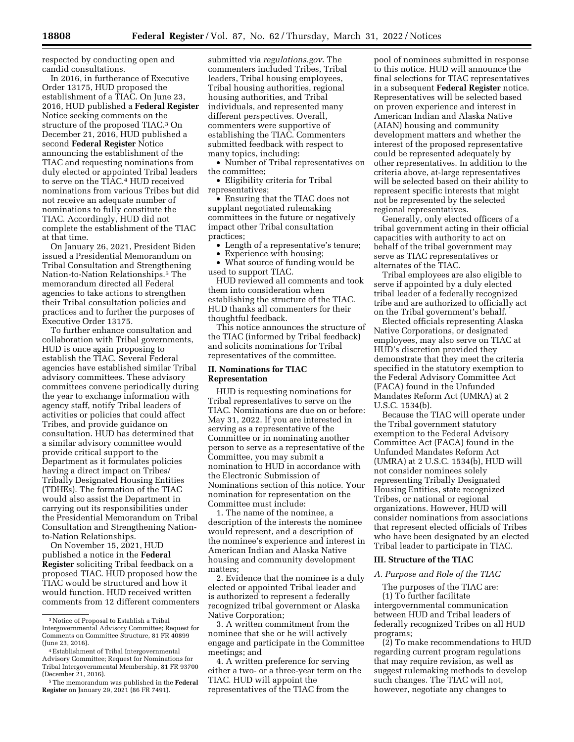respected by conducting open and candid consultations.

In 2016, in furtherance of Executive Order 13175, HUD proposed the establishment of a TIAC. On June 23, 2016, HUD published a **Federal Register**  Notice seeking comments on the structure of the proposed TIAC.3 On December 21, 2016, HUD published a second **Federal Register** Notice announcing the establishment of the TIAC and requesting nominations from duly elected or appointed Tribal leaders to serve on the TIAC.4 HUD received nominations from various Tribes but did not receive an adequate number of nominations to fully constitute the TIAC. Accordingly, HUD did not complete the establishment of the TIAC at that time.

On January 26, 2021, President Biden issued a Presidential Memorandum on Tribal Consultation and Strengthening Nation-to-Nation Relationships.5 The memorandum directed all Federal agencies to take actions to strengthen their Tribal consultation policies and practices and to further the purposes of Executive Order 13175.

To further enhance consultation and collaboration with Tribal governments, HUD is once again proposing to establish the TIAC. Several Federal agencies have established similar Tribal advisory committees. These advisory committees convene periodically during the year to exchange information with agency staff, notify Tribal leaders of activities or policies that could affect Tribes, and provide guidance on consultation. HUD has determined that a similar advisory committee would provide critical support to the Department as it formulates policies having a direct impact on Tribes/ Tribally Designated Housing Entities (TDHEs). The formation of the TIAC would also assist the Department in carrying out its responsibilities under the Presidential Memorandum on Tribal Consultation and Strengthening Nationto-Nation Relationships.

On November 15, 2021, HUD published a notice in the **Federal Register** soliciting Tribal feedback on a proposed TIAC. HUD proposed how the TIAC would be structured and how it would function. HUD received written comments from 12 different commenters

submitted via *regulations.gov*. The commenters included Tribes, Tribal leaders, Tribal housing employees, Tribal housing authorities, regional housing authorities, and Tribal individuals, and represented many different perspectives. Overall, commenters were supportive of establishing the TIAC. Commenters submitted feedback with respect to many topics, including:

• Number of Tribal representatives on the committee;

• Eligibility criteria for Tribal representatives;

• Ensuring that the TIAC does not supplant negotiated rulemaking committees in the future or negatively impact other Tribal consultation practices;

• Length of a representative's tenure;

• Experience with housing;

• What source of funding would be used to support TIAC.

HUD reviewed all comments and took them into consideration when establishing the structure of the TIAC. HUD thanks all commenters for their thoughtful feedback.

This notice announces the structure of the TIAC (informed by Tribal feedback) and solicits nominations for Tribal representatives of the committee.

## **II. Nominations for TIAC Representation**

HUD is requesting nominations for Tribal representatives to serve on the TIAC. Nominations are due on or before: May 31, 2022. If you are interested in serving as a representative of the Committee or in nominating another person to serve as a representative of the Committee, you may submit a nomination to HUD in accordance with the Electronic Submission of Nominations section of this notice. Your nomination for representation on the Committee must include:

1. The name of the nominee, a description of the interests the nominee would represent, and a description of the nominee's experience and interest in American Indian and Alaska Native housing and community development matters;

2. Evidence that the nominee is a duly elected or appointed Tribal leader and is authorized to represent a federally recognized tribal government or Alaska Native Corporation;

3. A written commitment from the nominee that she or he will actively engage and participate in the Committee meetings; and

4. A written preference for serving either a two- or a three-year term on the TIAC. HUD will appoint the representatives of the TIAC from the

pool of nominees submitted in response to this notice. HUD will announce the final selections for TIAC representatives in a subsequent **Federal Register** notice. Representatives will be selected based on proven experience and interest in American Indian and Alaska Native (AIAN) housing and community development matters and whether the interest of the proposed representative could be represented adequately by other representatives. In addition to the criteria above, at-large representatives will be selected based on their ability to represent specific interests that might not be represented by the selected regional representatives.

Generally, only elected officers of a tribal government acting in their official capacities with authority to act on behalf of the tribal government may serve as TIAC representatives or alternates of the TIAC.

Tribal employees are also eligible to serve if appointed by a duly elected tribal leader of a federally recognized tribe and are authorized to officially act on the Tribal government's behalf.

Elected officials representing Alaska Native Corporations, or designated employees, may also serve on TIAC at HUD's discretion provided they demonstrate that they meet the criteria specified in the statutory exemption to the Federal Advisory Committee Act (FACA) found in the Unfunded Mandates Reform Act (UMRA) at 2 U.S.C. 1534(b).

Because the TIAC will operate under the Tribal government statutory exemption to the Federal Advisory Committee Act (FACA) found in the Unfunded Mandates Reform Act (UMRA) at 2 U.S.C. 1534(b), HUD will not consider nominees solely representing Tribally Designated Housing Entities, state recognized Tribes, or national or regional organizations. However, HUD will consider nominations from associations that represent elected officials of Tribes who have been designated by an elected Tribal leader to participate in TIAC.

#### **III. Structure of the TIAC**

### *A. Purpose and Role of the TIAC*

The purposes of the TIAC are: (1) To further facilitate

intergovernmental communication between HUD and Tribal leaders of federally recognized Tribes on all HUD programs;

(2) To make recommendations to HUD regarding current program regulations that may require revision, as well as suggest rulemaking methods to develop such changes. The TIAC will not, however, negotiate any changes to

<sup>3</sup>Notice of Proposal to Establish a Tribal Intergovernmental Advisory Committee; Request for Comments on Committee Structure, 81 FR 40899 (June 23, 2016).

<sup>4</sup>Establishment of Tribal Intergovernmental Advisory Committee; Request for Nominations for Tribal Intergovernmental Membership, 81 FR 93700 (December 21, 2016).

<sup>5</sup>The memorandum was published in the **Federal Register** on January 29, 2021 (86 FR 7491).